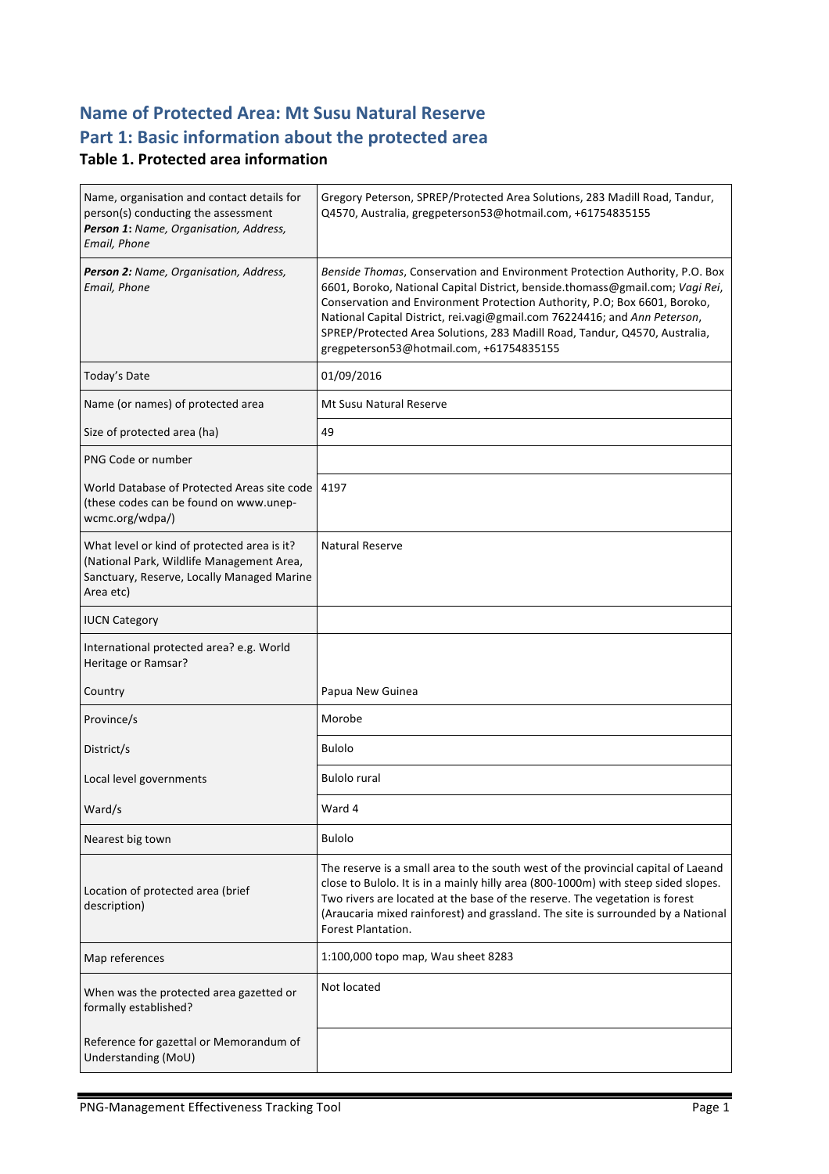# **Name of Protected Area: Mt Susu Natural Reserve** Part 1: Basic information about the protected area

#### **Table 1. Protected area information**

| Name, organisation and contact details for<br>person(s) conducting the assessment<br>Person 1: Name, Organisation, Address,<br>Email, Phone         | Gregory Peterson, SPREP/Protected Area Solutions, 283 Madill Road, Tandur,<br>Q4570, Australia, gregpeterson53@hotmail.com, +61754835155                                                                                                                                                                                                                                                                                                         |
|-----------------------------------------------------------------------------------------------------------------------------------------------------|--------------------------------------------------------------------------------------------------------------------------------------------------------------------------------------------------------------------------------------------------------------------------------------------------------------------------------------------------------------------------------------------------------------------------------------------------|
| Person 2: Name, Organisation, Address,<br>Email, Phone                                                                                              | Benside Thomas, Conservation and Environment Protection Authority, P.O. Box<br>6601, Boroko, National Capital District, benside.thomass@gmail.com; Vagi Rei,<br>Conservation and Environment Protection Authority, P.O; Box 6601, Boroko,<br>National Capital District, rei.vagi@gmail.com 76224416; and Ann Peterson,<br>SPREP/Protected Area Solutions, 283 Madill Road, Tandur, Q4570, Australia,<br>gregpeterson53@hotmail.com, +61754835155 |
| Today's Date                                                                                                                                        | 01/09/2016                                                                                                                                                                                                                                                                                                                                                                                                                                       |
| Name (or names) of protected area                                                                                                                   | <b>Mt Susu Natural Reserve</b>                                                                                                                                                                                                                                                                                                                                                                                                                   |
| Size of protected area (ha)                                                                                                                         | 49                                                                                                                                                                                                                                                                                                                                                                                                                                               |
| PNG Code or number                                                                                                                                  |                                                                                                                                                                                                                                                                                                                                                                                                                                                  |
| World Database of Protected Areas site code<br>(these codes can be found on www.unep-<br>wcmc.org/wdpa/)                                            | 4197                                                                                                                                                                                                                                                                                                                                                                                                                                             |
| What level or kind of protected area is it?<br>(National Park, Wildlife Management Area,<br>Sanctuary, Reserve, Locally Managed Marine<br>Area etc) | <b>Natural Reserve</b>                                                                                                                                                                                                                                                                                                                                                                                                                           |
| <b>IUCN Category</b>                                                                                                                                |                                                                                                                                                                                                                                                                                                                                                                                                                                                  |
| International protected area? e.g. World<br>Heritage or Ramsar?                                                                                     |                                                                                                                                                                                                                                                                                                                                                                                                                                                  |
| Country                                                                                                                                             | Papua New Guinea                                                                                                                                                                                                                                                                                                                                                                                                                                 |
| Province/s                                                                                                                                          | Morobe                                                                                                                                                                                                                                                                                                                                                                                                                                           |
| District/s                                                                                                                                          | <b>Bulolo</b>                                                                                                                                                                                                                                                                                                                                                                                                                                    |
| Local level governments                                                                                                                             | <b>Bulolo rural</b>                                                                                                                                                                                                                                                                                                                                                                                                                              |
| Ward/s                                                                                                                                              | Ward 4                                                                                                                                                                                                                                                                                                                                                                                                                                           |
| Nearest big town                                                                                                                                    | <b>Bulolo</b>                                                                                                                                                                                                                                                                                                                                                                                                                                    |
| Location of protected area (brief<br>description)                                                                                                   | The reserve is a small area to the south west of the provincial capital of Laeand<br>close to Bulolo. It is in a mainly hilly area (800-1000m) with steep sided slopes.<br>Two rivers are located at the base of the reserve. The vegetation is forest<br>(Araucaria mixed rainforest) and grassland. The site is surrounded by a National<br>Forest Plantation.                                                                                 |
| Map references                                                                                                                                      | 1:100,000 topo map, Wau sheet 8283                                                                                                                                                                                                                                                                                                                                                                                                               |
| When was the protected area gazetted or<br>formally established?                                                                                    | Not located                                                                                                                                                                                                                                                                                                                                                                                                                                      |
| Reference for gazettal or Memorandum of<br>Understanding (MoU)                                                                                      |                                                                                                                                                                                                                                                                                                                                                                                                                                                  |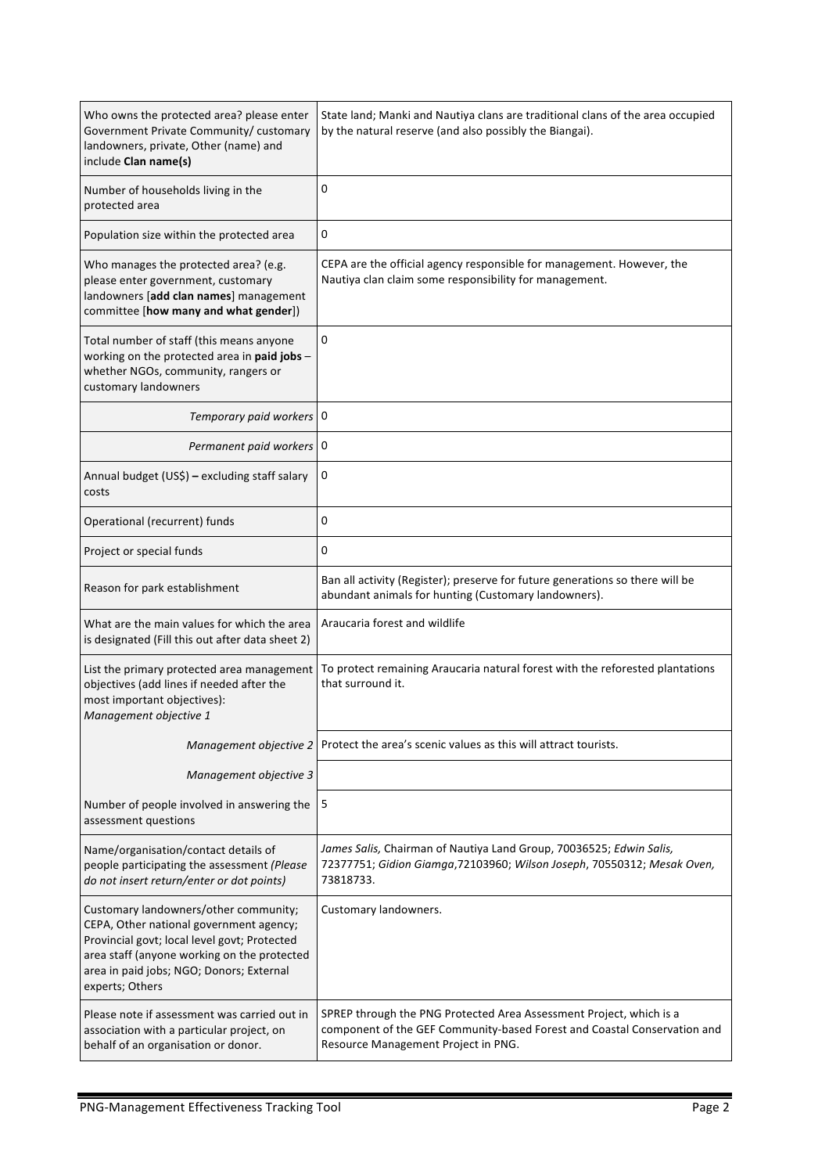| Who owns the protected area? please enter<br>Government Private Community/ customary<br>landowners, private, Other (name) and<br>include Clan name(s)                                                                                          | State land; Manki and Nautiya clans are traditional clans of the area occupied<br>by the natural reserve (and also possibly the Biangai).                                              |  |
|------------------------------------------------------------------------------------------------------------------------------------------------------------------------------------------------------------------------------------------------|----------------------------------------------------------------------------------------------------------------------------------------------------------------------------------------|--|
| Number of households living in the<br>protected area                                                                                                                                                                                           | 0                                                                                                                                                                                      |  |
| Population size within the protected area                                                                                                                                                                                                      | 0                                                                                                                                                                                      |  |
| Who manages the protected area? (e.g.<br>please enter government, customary<br>landowners [add clan names] management<br>committee [how many and what gender])                                                                                 | CEPA are the official agency responsible for management. However, the<br>Nautiya clan claim some responsibility for management.                                                        |  |
| Total number of staff (this means anyone<br>working on the protected area in paid jobs -<br>whether NGOs, community, rangers or<br>customary landowners                                                                                        | 0                                                                                                                                                                                      |  |
| Temporary paid workers 0                                                                                                                                                                                                                       |                                                                                                                                                                                        |  |
| Permanent paid workers 0                                                                                                                                                                                                                       |                                                                                                                                                                                        |  |
| Annual budget (US\$) - excluding staff salary<br>costs                                                                                                                                                                                         | 0                                                                                                                                                                                      |  |
| Operational (recurrent) funds                                                                                                                                                                                                                  | 0                                                                                                                                                                                      |  |
| Project or special funds                                                                                                                                                                                                                       | 0                                                                                                                                                                                      |  |
| Reason for park establishment                                                                                                                                                                                                                  | Ban all activity (Register); preserve for future generations so there will be<br>abundant animals for hunting (Customary landowners).                                                  |  |
| What are the main values for which the area<br>is designated (Fill this out after data sheet 2)                                                                                                                                                | Araucaria forest and wildlife                                                                                                                                                          |  |
| List the primary protected area management<br>objectives (add lines if needed after the<br>most important objectives):<br>Management objective 1                                                                                               | To protect remaining Araucaria natural forest with the reforested plantations<br>that surround it.                                                                                     |  |
| Management objective 2                                                                                                                                                                                                                         | Protect the area's scenic values as this will attract tourists.                                                                                                                        |  |
| Management objective 3                                                                                                                                                                                                                         |                                                                                                                                                                                        |  |
| Number of people involved in answering the<br>assessment questions                                                                                                                                                                             | 5                                                                                                                                                                                      |  |
| Name/organisation/contact details of<br>people participating the assessment (Please<br>do not insert return/enter or dot points)                                                                                                               | James Salis, Chairman of Nautiya Land Group, 70036525; Edwin Salis,<br>72377751; Gidion Giamga, 72103960; Wilson Joseph, 70550312; Mesak Oven,<br>73818733.                            |  |
| Customary landowners/other community;<br>CEPA, Other national government agency;<br>Provincial govt; local level govt; Protected<br>area staff (anyone working on the protected<br>area in paid jobs; NGO; Donors; External<br>experts; Others | Customary landowners.                                                                                                                                                                  |  |
| Please note if assessment was carried out in<br>association with a particular project, on<br>behalf of an organisation or donor.                                                                                                               | SPREP through the PNG Protected Area Assessment Project, which is a<br>component of the GEF Community-based Forest and Coastal Conservation and<br>Resource Management Project in PNG. |  |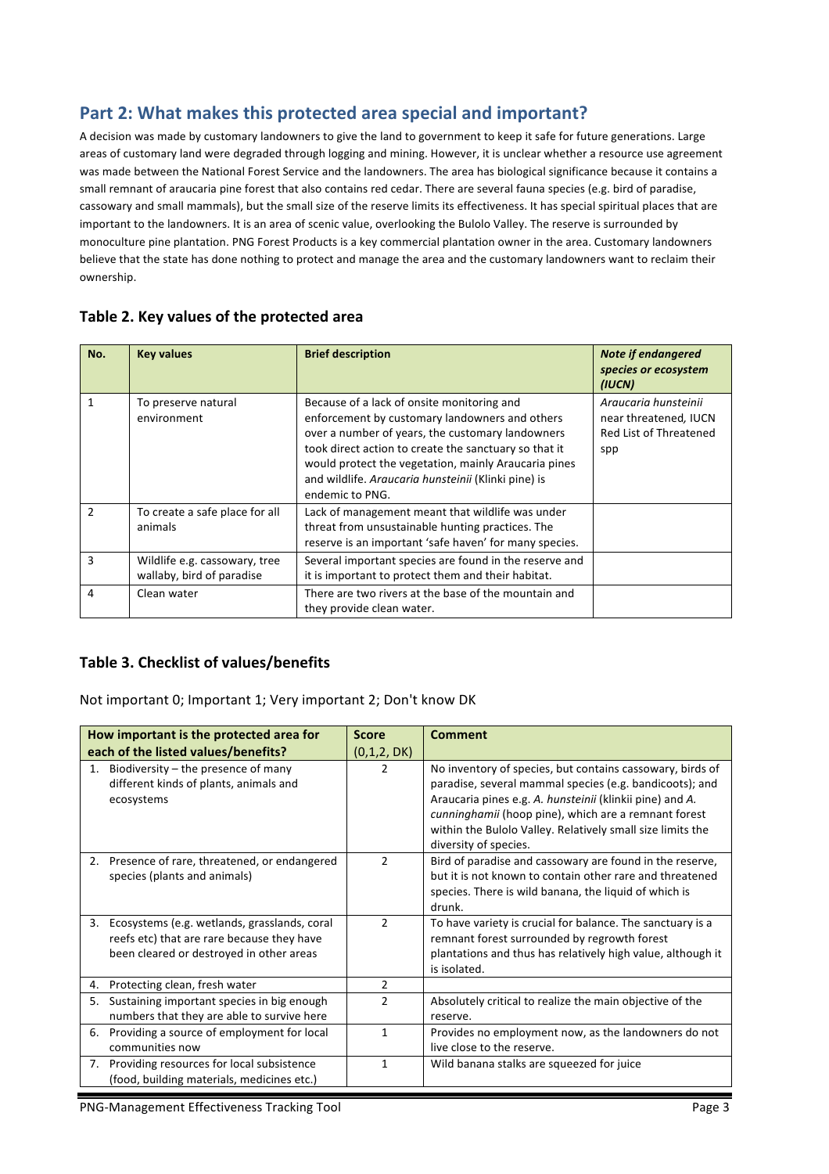## Part 2: What makes this protected area special and important?

A decision was made by customary landowners to give the land to government to keep it safe for future generations. Large areas of customary land were degraded through logging and mining. However, it is unclear whether a resource use agreement was made between the National Forest Service and the landowners. The area has biological significance because it contains a small remnant of araucaria pine forest that also contains red cedar. There are several fauna species (e.g. bird of paradise, cassowary and small mammals), but the small size of the reserve limits its effectiveness. It has special spiritual places that are important to the landowners. It is an area of scenic value, overlooking the Bulolo Valley. The reserve is surrounded by monoculture pine plantation. PNG Forest Products is a key commercial plantation owner in the area. Customary landowners believe that the state has done nothing to protect and manage the area and the customary landowners want to reclaim their ownership.

| No.           | <b>Key values</b>                                          | <b>Brief description</b>                                                                                                                                                                                                                                                                                                                    | <b>Note if endangered</b><br>species or ecosystem<br>(IUCN)                    |
|---------------|------------------------------------------------------------|---------------------------------------------------------------------------------------------------------------------------------------------------------------------------------------------------------------------------------------------------------------------------------------------------------------------------------------------|--------------------------------------------------------------------------------|
| 1             | To preserve natural<br>environment                         | Because of a lack of onsite monitoring and<br>enforcement by customary landowners and others<br>over a number of years, the customary landowners<br>took direct action to create the sanctuary so that it<br>would protect the vegetation, mainly Araucaria pines<br>and wildlife. Araucaria hunsteinii (Klinki pine) is<br>endemic to PNG. | Araucaria hunsteinii<br>near threatened, IUCN<br>Red List of Threatened<br>spp |
| $\mathcal{P}$ | To create a safe place for all<br>animals                  | Lack of management meant that wildlife was under<br>threat from unsustainable hunting practices. The<br>reserve is an important 'safe haven' for many species.                                                                                                                                                                              |                                                                                |
| 3             | Wildlife e.g. cassowary, tree<br>wallaby, bird of paradise | Several important species are found in the reserve and<br>it is important to protect them and their habitat.                                                                                                                                                                                                                                |                                                                                |
| 4             | Clean water                                                | There are two rivers at the base of the mountain and<br>they provide clean water.                                                                                                                                                                                                                                                           |                                                                                |

#### Table 2. Key values of the protected area

#### Table 3. Checklist of values/benefits

Not important 0; Important 1; Very important 2; Don't know DK

|    | How important is the protected area for                                                                                                | <b>Score</b>   | <b>Comment</b>                                                                                                                                                                                                                                                                                                                  |
|----|----------------------------------------------------------------------------------------------------------------------------------------|----------------|---------------------------------------------------------------------------------------------------------------------------------------------------------------------------------------------------------------------------------------------------------------------------------------------------------------------------------|
|    | each of the listed values/benefits?                                                                                                    | (0,1,2, DK)    |                                                                                                                                                                                                                                                                                                                                 |
| 1. | Biodiversity $-$ the presence of many<br>different kinds of plants, animals and<br>ecosystems                                          | $\mathcal{P}$  | No inventory of species, but contains cassowary, birds of<br>paradise, several mammal species (e.g. bandicoots); and<br>Araucaria pines e.g. A. hunsteinii (klinkii pine) and A.<br>cunninghamii (hoop pine), which are a remnant forest<br>within the Bulolo Valley. Relatively small size limits the<br>diversity of species. |
| 2. | Presence of rare, threatened, or endangered<br>species (plants and animals)                                                            | 2              | Bird of paradise and cassowary are found in the reserve,<br>but it is not known to contain other rare and threatened<br>species. There is wild banana, the liquid of which is<br>drunk.                                                                                                                                         |
| 3. | Ecosystems (e.g. wetlands, grasslands, coral<br>reefs etc) that are rare because they have<br>been cleared or destroyed in other areas | $\mathcal{P}$  | To have variety is crucial for balance. The sanctuary is a<br>remnant forest surrounded by regrowth forest<br>plantations and thus has relatively high value, although it<br>is isolated.                                                                                                                                       |
| 4. | Protecting clean, fresh water                                                                                                          | $\mathfrak{p}$ |                                                                                                                                                                                                                                                                                                                                 |
| 5. | Sustaining important species in big enough<br>numbers that they are able to survive here                                               | $\mathcal{P}$  | Absolutely critical to realize the main objective of the<br>reserve.                                                                                                                                                                                                                                                            |
| 6. | Providing a source of employment for local<br>communities now                                                                          | 1              | Provides no employment now, as the landowners do not<br>live close to the reserve.                                                                                                                                                                                                                                              |
|    | 7. Providing resources for local subsistence<br>(food, building materials, medicines etc.)                                             | 1              | Wild banana stalks are squeezed for juice                                                                                                                                                                                                                                                                                       |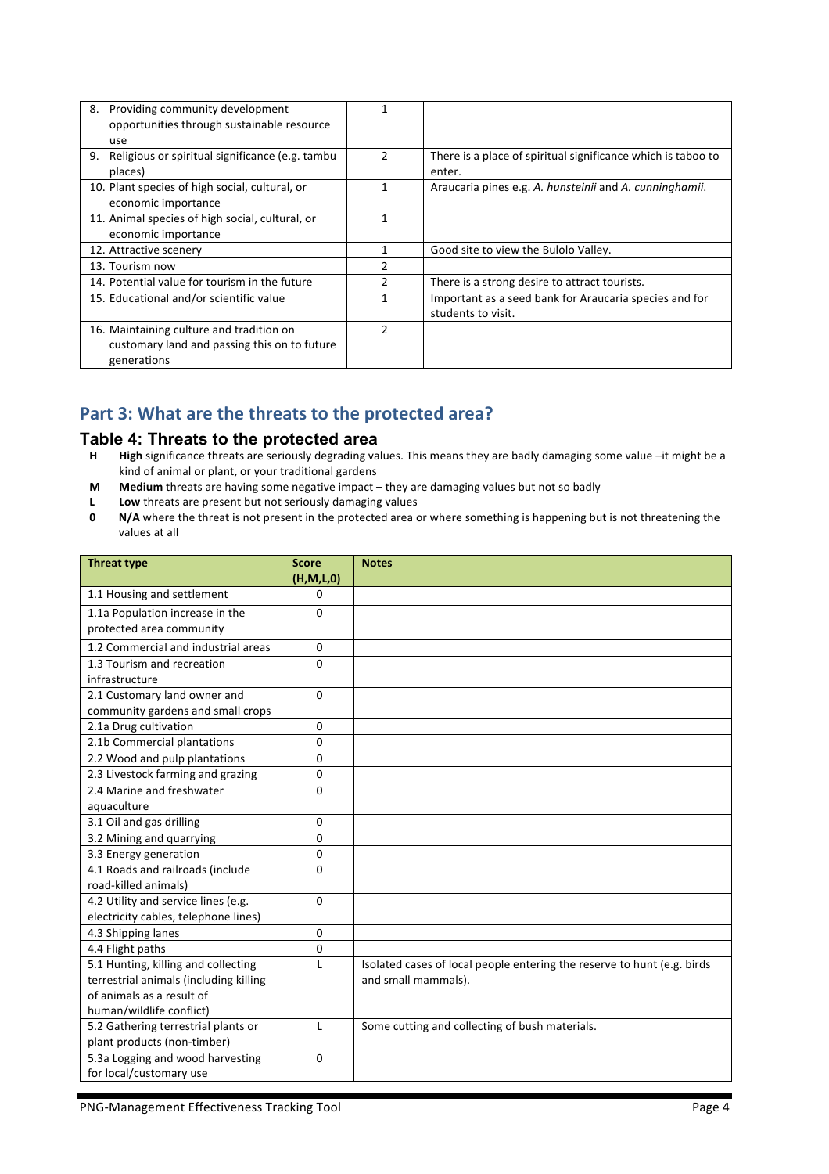| 8.<br>Providing community development                 |               |                                                              |
|-------------------------------------------------------|---------------|--------------------------------------------------------------|
| opportunities through sustainable resource            |               |                                                              |
| use                                                   |               |                                                              |
| Religious or spiritual significance (e.g. tambu<br>9. | $\mathcal{P}$ | There is a place of spiritual significance which is taboo to |
| places)                                               |               | enter.                                                       |
| 10. Plant species of high social, cultural, or        |               | Araucaria pines e.g. A. hunsteinii and A. cunninghamii.      |
| economic importance                                   |               |                                                              |
| 11. Animal species of high social, cultural, or       |               |                                                              |
| economic importance                                   |               |                                                              |
| 12. Attractive scenery                                |               | Good site to view the Bulolo Valley.                         |
| 13. Tourism now                                       |               |                                                              |
| 14. Potential value for tourism in the future         |               | There is a strong desire to attract tourists.                |
| 15. Educational and/or scientific value               |               | Important as a seed bank for Araucaria species and for       |
|                                                       |               | students to visit.                                           |
| 16. Maintaining culture and tradition on              | 2             |                                                              |
| customary land and passing this on to future          |               |                                                              |
| generations                                           |               |                                                              |

## Part 3: What are the threats to the protected area?

# **Table 4: Threats to the protected area**<br>**H** High significance threats are seriously degrading va

- High significance threats are seriously degrading values. This means they are badly damaging some value –it might be a kind of animal or plant, or your traditional gardens
- **M** Medium threats are having some negative impact they are damaging values but not so badly
- **L** Low threats are present but not seriously damaging values
- **0 N/A** where the threat is not present in the protected area or where something is happening but is not threatening the values at all

| <b>Threat type</b>                     | <b>Score</b> | <b>Notes</b>                                                            |
|----------------------------------------|--------------|-------------------------------------------------------------------------|
|                                        | (H, M, L, 0) |                                                                         |
| 1.1 Housing and settlement             | 0            |                                                                         |
| 1.1a Population increase in the        | $\mathbf{0}$ |                                                                         |
| protected area community               |              |                                                                         |
| 1.2 Commercial and industrial areas    | $\Omega$     |                                                                         |
| 1.3 Tourism and recreation             | $\mathbf{0}$ |                                                                         |
| infrastructure                         |              |                                                                         |
| 2.1 Customary land owner and           | $\Omega$     |                                                                         |
| community gardens and small crops      |              |                                                                         |
| 2.1a Drug cultivation                  | 0            |                                                                         |
| 2.1b Commercial plantations            | $\Omega$     |                                                                         |
| 2.2 Wood and pulp plantations          | $\Omega$     |                                                                         |
| 2.3 Livestock farming and grazing      | $\mathbf{0}$ |                                                                         |
| 2.4 Marine and freshwater              | $\mathbf{0}$ |                                                                         |
| aquaculture                            |              |                                                                         |
| 3.1 Oil and gas drilling               | $\mathbf{0}$ |                                                                         |
| 3.2 Mining and quarrying               | $\Omega$     |                                                                         |
| 3.3 Energy generation                  | $\mathbf 0$  |                                                                         |
| 4.1 Roads and railroads (include       | 0            |                                                                         |
| road-killed animals)                   |              |                                                                         |
| 4.2 Utility and service lines (e.g.    | $\Omega$     |                                                                         |
| electricity cables, telephone lines)   |              |                                                                         |
| 4.3 Shipping lanes                     | $\mathbf{0}$ |                                                                         |
| 4.4 Flight paths                       | $\mathbf 0$  |                                                                         |
| 5.1 Hunting, killing and collecting    | L            | Isolated cases of local people entering the reserve to hunt (e.g. birds |
| terrestrial animals (including killing |              | and small mammals).                                                     |
| of animals as a result of              |              |                                                                         |
| human/wildlife conflict)               |              |                                                                         |
| 5.2 Gathering terrestrial plants or    | $\mathsf{L}$ | Some cutting and collecting of bush materials.                          |
| plant products (non-timber)            |              |                                                                         |
| 5.3a Logging and wood harvesting       | $\Omega$     |                                                                         |
| for local/customary use                |              |                                                                         |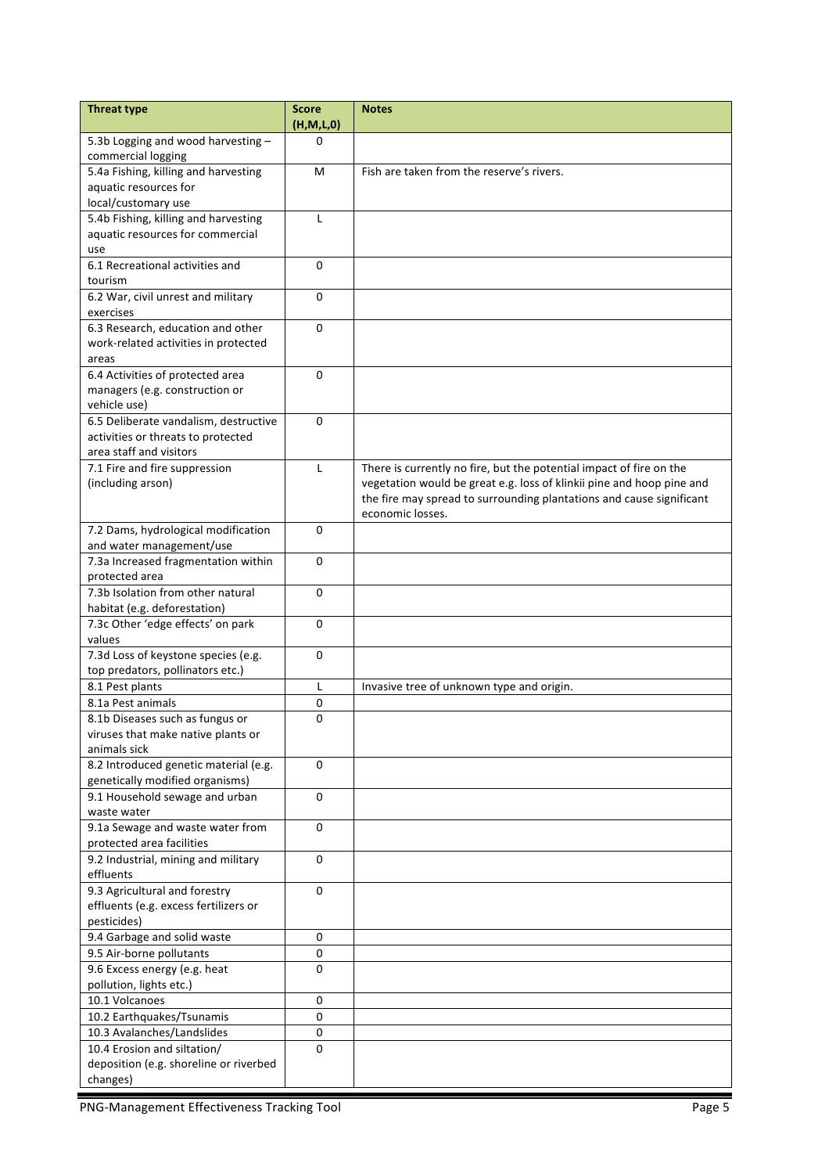| (H, M, L, 0)<br>5.3b Logging and wood harvesting -<br>0<br>commercial logging<br>5.4a Fishing, killing and harvesting<br>Fish are taken from the reserve's rivers.<br>M<br>aquatic resources for<br>local/customary use<br>5.4b Fishing, killing and harvesting<br>L<br>aquatic resources for commercial<br>use<br>6.1 Recreational activities and<br>$\Omega$<br>tourism<br>6.2 War, civil unrest and military<br>0<br>exercises<br>6.3 Research, education and other<br>$\Omega$<br>work-related activities in protected<br>areas<br>6.4 Activities of protected area<br>$\Omega$<br>managers (e.g. construction or<br>vehicle use)<br>6.5 Deliberate vandalism, destructive<br>$\Omega$<br>activities or threats to protected<br>area staff and visitors<br>7.1 Fire and fire suppression<br>$\mathsf{L}$<br>There is currently no fire, but the potential impact of fire on the<br>vegetation would be great e.g. loss of klinkii pine and hoop pine and<br>(including arson)<br>the fire may spread to surrounding plantations and cause significant<br>economic losses.<br>7.2 Dams, hydrological modification<br>0<br>and water management/use<br>7.3a Increased fragmentation within<br>0<br>protected area<br>7.3b Isolation from other natural<br>$\Omega$<br>habitat (e.g. deforestation)<br>7.3c Other 'edge effects' on park<br>$\Omega$<br>values<br>7.3d Loss of keystone species (e.g.<br>0<br>top predators, pollinators etc.)<br>8.1 Pest plants<br>L<br>Invasive tree of unknown type and origin.<br>8.1a Pest animals<br>0<br>0<br>8.1b Diseases such as fungus or<br>viruses that make native plants or<br>animals sick<br>8.2 Introduced genetic material (e.g.<br>0<br>genetically modified organisms)<br>9.1 Household sewage and urban<br>0<br>waste water<br>9.1a Sewage and waste water from<br>0<br>protected area facilities<br>9.2 Industrial, mining and military<br>$\Omega$<br>effluents<br>9.3 Agricultural and forestry<br>0<br>effluents (e.g. excess fertilizers or<br>pesticides)<br>9.4 Garbage and solid waste<br>$\pmb{0}$<br>9.5 Air-borne pollutants<br>0 |
|------------------------------------------------------------------------------------------------------------------------------------------------------------------------------------------------------------------------------------------------------------------------------------------------------------------------------------------------------------------------------------------------------------------------------------------------------------------------------------------------------------------------------------------------------------------------------------------------------------------------------------------------------------------------------------------------------------------------------------------------------------------------------------------------------------------------------------------------------------------------------------------------------------------------------------------------------------------------------------------------------------------------------------------------------------------------------------------------------------------------------------------------------------------------------------------------------------------------------------------------------------------------------------------------------------------------------------------------------------------------------------------------------------------------------------------------------------------------------------------------------------------------------------------------------------------------------------------------------------------------------------------------------------------------------------------------------------------------------------------------------------------------------------------------------------------------------------------------------------------------------------------------------------------------------------------------------------------------------------------------------------------------------------------------------------------------------------------------------|
|                                                                                                                                                                                                                                                                                                                                                                                                                                                                                                                                                                                                                                                                                                                                                                                                                                                                                                                                                                                                                                                                                                                                                                                                                                                                                                                                                                                                                                                                                                                                                                                                                                                                                                                                                                                                                                                                                                                                                                                                                                                                                                      |
|                                                                                                                                                                                                                                                                                                                                                                                                                                                                                                                                                                                                                                                                                                                                                                                                                                                                                                                                                                                                                                                                                                                                                                                                                                                                                                                                                                                                                                                                                                                                                                                                                                                                                                                                                                                                                                                                                                                                                                                                                                                                                                      |
|                                                                                                                                                                                                                                                                                                                                                                                                                                                                                                                                                                                                                                                                                                                                                                                                                                                                                                                                                                                                                                                                                                                                                                                                                                                                                                                                                                                                                                                                                                                                                                                                                                                                                                                                                                                                                                                                                                                                                                                                                                                                                                      |
|                                                                                                                                                                                                                                                                                                                                                                                                                                                                                                                                                                                                                                                                                                                                                                                                                                                                                                                                                                                                                                                                                                                                                                                                                                                                                                                                                                                                                                                                                                                                                                                                                                                                                                                                                                                                                                                                                                                                                                                                                                                                                                      |
|                                                                                                                                                                                                                                                                                                                                                                                                                                                                                                                                                                                                                                                                                                                                                                                                                                                                                                                                                                                                                                                                                                                                                                                                                                                                                                                                                                                                                                                                                                                                                                                                                                                                                                                                                                                                                                                                                                                                                                                                                                                                                                      |
|                                                                                                                                                                                                                                                                                                                                                                                                                                                                                                                                                                                                                                                                                                                                                                                                                                                                                                                                                                                                                                                                                                                                                                                                                                                                                                                                                                                                                                                                                                                                                                                                                                                                                                                                                                                                                                                                                                                                                                                                                                                                                                      |
|                                                                                                                                                                                                                                                                                                                                                                                                                                                                                                                                                                                                                                                                                                                                                                                                                                                                                                                                                                                                                                                                                                                                                                                                                                                                                                                                                                                                                                                                                                                                                                                                                                                                                                                                                                                                                                                                                                                                                                                                                                                                                                      |
|                                                                                                                                                                                                                                                                                                                                                                                                                                                                                                                                                                                                                                                                                                                                                                                                                                                                                                                                                                                                                                                                                                                                                                                                                                                                                                                                                                                                                                                                                                                                                                                                                                                                                                                                                                                                                                                                                                                                                                                                                                                                                                      |
|                                                                                                                                                                                                                                                                                                                                                                                                                                                                                                                                                                                                                                                                                                                                                                                                                                                                                                                                                                                                                                                                                                                                                                                                                                                                                                                                                                                                                                                                                                                                                                                                                                                                                                                                                                                                                                                                                                                                                                                                                                                                                                      |
|                                                                                                                                                                                                                                                                                                                                                                                                                                                                                                                                                                                                                                                                                                                                                                                                                                                                                                                                                                                                                                                                                                                                                                                                                                                                                                                                                                                                                                                                                                                                                                                                                                                                                                                                                                                                                                                                                                                                                                                                                                                                                                      |
|                                                                                                                                                                                                                                                                                                                                                                                                                                                                                                                                                                                                                                                                                                                                                                                                                                                                                                                                                                                                                                                                                                                                                                                                                                                                                                                                                                                                                                                                                                                                                                                                                                                                                                                                                                                                                                                                                                                                                                                                                                                                                                      |
|                                                                                                                                                                                                                                                                                                                                                                                                                                                                                                                                                                                                                                                                                                                                                                                                                                                                                                                                                                                                                                                                                                                                                                                                                                                                                                                                                                                                                                                                                                                                                                                                                                                                                                                                                                                                                                                                                                                                                                                                                                                                                                      |
|                                                                                                                                                                                                                                                                                                                                                                                                                                                                                                                                                                                                                                                                                                                                                                                                                                                                                                                                                                                                                                                                                                                                                                                                                                                                                                                                                                                                                                                                                                                                                                                                                                                                                                                                                                                                                                                                                                                                                                                                                                                                                                      |
|                                                                                                                                                                                                                                                                                                                                                                                                                                                                                                                                                                                                                                                                                                                                                                                                                                                                                                                                                                                                                                                                                                                                                                                                                                                                                                                                                                                                                                                                                                                                                                                                                                                                                                                                                                                                                                                                                                                                                                                                                                                                                                      |
|                                                                                                                                                                                                                                                                                                                                                                                                                                                                                                                                                                                                                                                                                                                                                                                                                                                                                                                                                                                                                                                                                                                                                                                                                                                                                                                                                                                                                                                                                                                                                                                                                                                                                                                                                                                                                                                                                                                                                                                                                                                                                                      |
|                                                                                                                                                                                                                                                                                                                                                                                                                                                                                                                                                                                                                                                                                                                                                                                                                                                                                                                                                                                                                                                                                                                                                                                                                                                                                                                                                                                                                                                                                                                                                                                                                                                                                                                                                                                                                                                                                                                                                                                                                                                                                                      |
|                                                                                                                                                                                                                                                                                                                                                                                                                                                                                                                                                                                                                                                                                                                                                                                                                                                                                                                                                                                                                                                                                                                                                                                                                                                                                                                                                                                                                                                                                                                                                                                                                                                                                                                                                                                                                                                                                                                                                                                                                                                                                                      |
|                                                                                                                                                                                                                                                                                                                                                                                                                                                                                                                                                                                                                                                                                                                                                                                                                                                                                                                                                                                                                                                                                                                                                                                                                                                                                                                                                                                                                                                                                                                                                                                                                                                                                                                                                                                                                                                                                                                                                                                                                                                                                                      |
|                                                                                                                                                                                                                                                                                                                                                                                                                                                                                                                                                                                                                                                                                                                                                                                                                                                                                                                                                                                                                                                                                                                                                                                                                                                                                                                                                                                                                                                                                                                                                                                                                                                                                                                                                                                                                                                                                                                                                                                                                                                                                                      |
|                                                                                                                                                                                                                                                                                                                                                                                                                                                                                                                                                                                                                                                                                                                                                                                                                                                                                                                                                                                                                                                                                                                                                                                                                                                                                                                                                                                                                                                                                                                                                                                                                                                                                                                                                                                                                                                                                                                                                                                                                                                                                                      |
|                                                                                                                                                                                                                                                                                                                                                                                                                                                                                                                                                                                                                                                                                                                                                                                                                                                                                                                                                                                                                                                                                                                                                                                                                                                                                                                                                                                                                                                                                                                                                                                                                                                                                                                                                                                                                                                                                                                                                                                                                                                                                                      |
|                                                                                                                                                                                                                                                                                                                                                                                                                                                                                                                                                                                                                                                                                                                                                                                                                                                                                                                                                                                                                                                                                                                                                                                                                                                                                                                                                                                                                                                                                                                                                                                                                                                                                                                                                                                                                                                                                                                                                                                                                                                                                                      |
|                                                                                                                                                                                                                                                                                                                                                                                                                                                                                                                                                                                                                                                                                                                                                                                                                                                                                                                                                                                                                                                                                                                                                                                                                                                                                                                                                                                                                                                                                                                                                                                                                                                                                                                                                                                                                                                                                                                                                                                                                                                                                                      |
|                                                                                                                                                                                                                                                                                                                                                                                                                                                                                                                                                                                                                                                                                                                                                                                                                                                                                                                                                                                                                                                                                                                                                                                                                                                                                                                                                                                                                                                                                                                                                                                                                                                                                                                                                                                                                                                                                                                                                                                                                                                                                                      |
|                                                                                                                                                                                                                                                                                                                                                                                                                                                                                                                                                                                                                                                                                                                                                                                                                                                                                                                                                                                                                                                                                                                                                                                                                                                                                                                                                                                                                                                                                                                                                                                                                                                                                                                                                                                                                                                                                                                                                                                                                                                                                                      |
|                                                                                                                                                                                                                                                                                                                                                                                                                                                                                                                                                                                                                                                                                                                                                                                                                                                                                                                                                                                                                                                                                                                                                                                                                                                                                                                                                                                                                                                                                                                                                                                                                                                                                                                                                                                                                                                                                                                                                                                                                                                                                                      |
|                                                                                                                                                                                                                                                                                                                                                                                                                                                                                                                                                                                                                                                                                                                                                                                                                                                                                                                                                                                                                                                                                                                                                                                                                                                                                                                                                                                                                                                                                                                                                                                                                                                                                                                                                                                                                                                                                                                                                                                                                                                                                                      |
|                                                                                                                                                                                                                                                                                                                                                                                                                                                                                                                                                                                                                                                                                                                                                                                                                                                                                                                                                                                                                                                                                                                                                                                                                                                                                                                                                                                                                                                                                                                                                                                                                                                                                                                                                                                                                                                                                                                                                                                                                                                                                                      |
|                                                                                                                                                                                                                                                                                                                                                                                                                                                                                                                                                                                                                                                                                                                                                                                                                                                                                                                                                                                                                                                                                                                                                                                                                                                                                                                                                                                                                                                                                                                                                                                                                                                                                                                                                                                                                                                                                                                                                                                                                                                                                                      |
|                                                                                                                                                                                                                                                                                                                                                                                                                                                                                                                                                                                                                                                                                                                                                                                                                                                                                                                                                                                                                                                                                                                                                                                                                                                                                                                                                                                                                                                                                                                                                                                                                                                                                                                                                                                                                                                                                                                                                                                                                                                                                                      |
|                                                                                                                                                                                                                                                                                                                                                                                                                                                                                                                                                                                                                                                                                                                                                                                                                                                                                                                                                                                                                                                                                                                                                                                                                                                                                                                                                                                                                                                                                                                                                                                                                                                                                                                                                                                                                                                                                                                                                                                                                                                                                                      |
|                                                                                                                                                                                                                                                                                                                                                                                                                                                                                                                                                                                                                                                                                                                                                                                                                                                                                                                                                                                                                                                                                                                                                                                                                                                                                                                                                                                                                                                                                                                                                                                                                                                                                                                                                                                                                                                                                                                                                                                                                                                                                                      |
|                                                                                                                                                                                                                                                                                                                                                                                                                                                                                                                                                                                                                                                                                                                                                                                                                                                                                                                                                                                                                                                                                                                                                                                                                                                                                                                                                                                                                                                                                                                                                                                                                                                                                                                                                                                                                                                                                                                                                                                                                                                                                                      |
|                                                                                                                                                                                                                                                                                                                                                                                                                                                                                                                                                                                                                                                                                                                                                                                                                                                                                                                                                                                                                                                                                                                                                                                                                                                                                                                                                                                                                                                                                                                                                                                                                                                                                                                                                                                                                                                                                                                                                                                                                                                                                                      |
|                                                                                                                                                                                                                                                                                                                                                                                                                                                                                                                                                                                                                                                                                                                                                                                                                                                                                                                                                                                                                                                                                                                                                                                                                                                                                                                                                                                                                                                                                                                                                                                                                                                                                                                                                                                                                                                                                                                                                                                                                                                                                                      |
|                                                                                                                                                                                                                                                                                                                                                                                                                                                                                                                                                                                                                                                                                                                                                                                                                                                                                                                                                                                                                                                                                                                                                                                                                                                                                                                                                                                                                                                                                                                                                                                                                                                                                                                                                                                                                                                                                                                                                                                                                                                                                                      |
|                                                                                                                                                                                                                                                                                                                                                                                                                                                                                                                                                                                                                                                                                                                                                                                                                                                                                                                                                                                                                                                                                                                                                                                                                                                                                                                                                                                                                                                                                                                                                                                                                                                                                                                                                                                                                                                                                                                                                                                                                                                                                                      |
|                                                                                                                                                                                                                                                                                                                                                                                                                                                                                                                                                                                                                                                                                                                                                                                                                                                                                                                                                                                                                                                                                                                                                                                                                                                                                                                                                                                                                                                                                                                                                                                                                                                                                                                                                                                                                                                                                                                                                                                                                                                                                                      |
|                                                                                                                                                                                                                                                                                                                                                                                                                                                                                                                                                                                                                                                                                                                                                                                                                                                                                                                                                                                                                                                                                                                                                                                                                                                                                                                                                                                                                                                                                                                                                                                                                                                                                                                                                                                                                                                                                                                                                                                                                                                                                                      |
|                                                                                                                                                                                                                                                                                                                                                                                                                                                                                                                                                                                                                                                                                                                                                                                                                                                                                                                                                                                                                                                                                                                                                                                                                                                                                                                                                                                                                                                                                                                                                                                                                                                                                                                                                                                                                                                                                                                                                                                                                                                                                                      |
|                                                                                                                                                                                                                                                                                                                                                                                                                                                                                                                                                                                                                                                                                                                                                                                                                                                                                                                                                                                                                                                                                                                                                                                                                                                                                                                                                                                                                                                                                                                                                                                                                                                                                                                                                                                                                                                                                                                                                                                                                                                                                                      |
|                                                                                                                                                                                                                                                                                                                                                                                                                                                                                                                                                                                                                                                                                                                                                                                                                                                                                                                                                                                                                                                                                                                                                                                                                                                                                                                                                                                                                                                                                                                                                                                                                                                                                                                                                                                                                                                                                                                                                                                                                                                                                                      |
|                                                                                                                                                                                                                                                                                                                                                                                                                                                                                                                                                                                                                                                                                                                                                                                                                                                                                                                                                                                                                                                                                                                                                                                                                                                                                                                                                                                                                                                                                                                                                                                                                                                                                                                                                                                                                                                                                                                                                                                                                                                                                                      |
|                                                                                                                                                                                                                                                                                                                                                                                                                                                                                                                                                                                                                                                                                                                                                                                                                                                                                                                                                                                                                                                                                                                                                                                                                                                                                                                                                                                                                                                                                                                                                                                                                                                                                                                                                                                                                                                                                                                                                                                                                                                                                                      |
|                                                                                                                                                                                                                                                                                                                                                                                                                                                                                                                                                                                                                                                                                                                                                                                                                                                                                                                                                                                                                                                                                                                                                                                                                                                                                                                                                                                                                                                                                                                                                                                                                                                                                                                                                                                                                                                                                                                                                                                                                                                                                                      |
|                                                                                                                                                                                                                                                                                                                                                                                                                                                                                                                                                                                                                                                                                                                                                                                                                                                                                                                                                                                                                                                                                                                                                                                                                                                                                                                                                                                                                                                                                                                                                                                                                                                                                                                                                                                                                                                                                                                                                                                                                                                                                                      |
|                                                                                                                                                                                                                                                                                                                                                                                                                                                                                                                                                                                                                                                                                                                                                                                                                                                                                                                                                                                                                                                                                                                                                                                                                                                                                                                                                                                                                                                                                                                                                                                                                                                                                                                                                                                                                                                                                                                                                                                                                                                                                                      |
|                                                                                                                                                                                                                                                                                                                                                                                                                                                                                                                                                                                                                                                                                                                                                                                                                                                                                                                                                                                                                                                                                                                                                                                                                                                                                                                                                                                                                                                                                                                                                                                                                                                                                                                                                                                                                                                                                                                                                                                                                                                                                                      |
|                                                                                                                                                                                                                                                                                                                                                                                                                                                                                                                                                                                                                                                                                                                                                                                                                                                                                                                                                                                                                                                                                                                                                                                                                                                                                                                                                                                                                                                                                                                                                                                                                                                                                                                                                                                                                                                                                                                                                                                                                                                                                                      |
|                                                                                                                                                                                                                                                                                                                                                                                                                                                                                                                                                                                                                                                                                                                                                                                                                                                                                                                                                                                                                                                                                                                                                                                                                                                                                                                                                                                                                                                                                                                                                                                                                                                                                                                                                                                                                                                                                                                                                                                                                                                                                                      |
| 9.6 Excess energy (e.g. heat<br>0                                                                                                                                                                                                                                                                                                                                                                                                                                                                                                                                                                                                                                                                                                                                                                                                                                                                                                                                                                                                                                                                                                                                                                                                                                                                                                                                                                                                                                                                                                                                                                                                                                                                                                                                                                                                                                                                                                                                                                                                                                                                    |
| pollution, lights etc.)                                                                                                                                                                                                                                                                                                                                                                                                                                                                                                                                                                                                                                                                                                                                                                                                                                                                                                                                                                                                                                                                                                                                                                                                                                                                                                                                                                                                                                                                                                                                                                                                                                                                                                                                                                                                                                                                                                                                                                                                                                                                              |
| 10.1 Volcanoes<br>$\mathbf 0$                                                                                                                                                                                                                                                                                                                                                                                                                                                                                                                                                                                                                                                                                                                                                                                                                                                                                                                                                                                                                                                                                                                                                                                                                                                                                                                                                                                                                                                                                                                                                                                                                                                                                                                                                                                                                                                                                                                                                                                                                                                                        |
| $\mathbf 0$<br>10.2 Earthquakes/Tsunamis                                                                                                                                                                                                                                                                                                                                                                                                                                                                                                                                                                                                                                                                                                                                                                                                                                                                                                                                                                                                                                                                                                                                                                                                                                                                                                                                                                                                                                                                                                                                                                                                                                                                                                                                                                                                                                                                                                                                                                                                                                                             |
|                                                                                                                                                                                                                                                                                                                                                                                                                                                                                                                                                                                                                                                                                                                                                                                                                                                                                                                                                                                                                                                                                                                                                                                                                                                                                                                                                                                                                                                                                                                                                                                                                                                                                                                                                                                                                                                                                                                                                                                                                                                                                                      |
|                                                                                                                                                                                                                                                                                                                                                                                                                                                                                                                                                                                                                                                                                                                                                                                                                                                                                                                                                                                                                                                                                                                                                                                                                                                                                                                                                                                                                                                                                                                                                                                                                                                                                                                                                                                                                                                                                                                                                                                                                                                                                                      |
| 10.3 Avalanches/Landslides<br>0<br>0                                                                                                                                                                                                                                                                                                                                                                                                                                                                                                                                                                                                                                                                                                                                                                                                                                                                                                                                                                                                                                                                                                                                                                                                                                                                                                                                                                                                                                                                                                                                                                                                                                                                                                                                                                                                                                                                                                                                                                                                                                                                 |
| 10.4 Erosion and siltation/<br>deposition (e.g. shoreline or riverbed                                                                                                                                                                                                                                                                                                                                                                                                                                                                                                                                                                                                                                                                                                                                                                                                                                                                                                                                                                                                                                                                                                                                                                                                                                                                                                                                                                                                                                                                                                                                                                                                                                                                                                                                                                                                                                                                                                                                                                                                                                |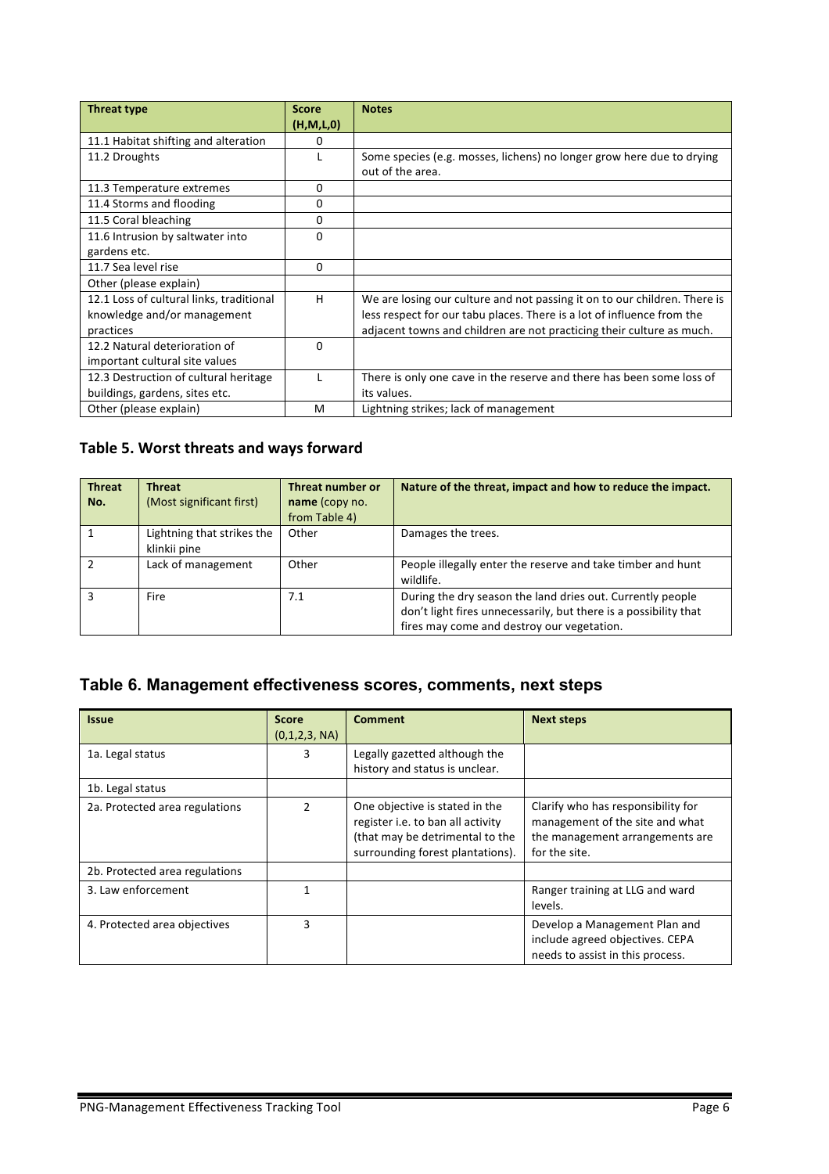| <b>Threat type</b>                       | <b>Score</b> | <b>Notes</b>                                                              |
|------------------------------------------|--------------|---------------------------------------------------------------------------|
|                                          | (H,M,L,0)    |                                                                           |
| 11.1 Habitat shifting and alteration     | 0            |                                                                           |
| 11.2 Droughts                            |              | Some species (e.g. mosses, lichens) no longer grow here due to drying     |
|                                          |              | out of the area.                                                          |
| 11.3 Temperature extremes                | 0            |                                                                           |
| 11.4 Storms and flooding                 | 0            |                                                                           |
| 11.5 Coral bleaching                     | 0            |                                                                           |
| 11.6 Intrusion by saltwater into         | $\Omega$     |                                                                           |
| gardens etc.                             |              |                                                                           |
| 11.7 Sea level rise                      | 0            |                                                                           |
| Other (please explain)                   |              |                                                                           |
| 12.1 Loss of cultural links, traditional | H            | We are losing our culture and not passing it on to our children. There is |
| knowledge and/or management              |              | less respect for our tabu places. There is a lot of influence from the    |
| practices                                |              | adjacent towns and children are not practicing their culture as much.     |
| 12.2 Natural deterioration of            | 0            |                                                                           |
| important cultural site values           |              |                                                                           |
| 12.3 Destruction of cultural heritage    |              | There is only one cave in the reserve and there has been some loss of     |
| buildings, gardens, sites etc.           |              | its values.                                                               |
| Other (please explain)                   | M            | Lightning strikes; lack of management                                     |

#### Table 5. Worst threats and ways forward

| <b>Threat</b><br>No. | <b>Threat</b><br>(Most significant first)  | Threat number or<br>name (copy no.<br>from Table 4) | Nature of the threat, impact and how to reduce the impact.                                                                                                                   |
|----------------------|--------------------------------------------|-----------------------------------------------------|------------------------------------------------------------------------------------------------------------------------------------------------------------------------------|
|                      | Lightning that strikes the<br>klinkii pine | Other                                               | Damages the trees.                                                                                                                                                           |
|                      | Lack of management                         | Other                                               | People illegally enter the reserve and take timber and hunt<br>wildlife.                                                                                                     |
| 3                    | Fire                                       | 7.1                                                 | During the dry season the land dries out. Currently people<br>don't light fires unnecessarily, but there is a possibility that<br>fires may come and destroy our vegetation. |

# **Table 6. Management effectiveness scores, comments, next steps**

| <b>Issue</b>                   | <b>Score</b><br>(0,1,2,3, NA) | <b>Comment</b>                                                                                                                             | <b>Next steps</b>                                                                                                         |
|--------------------------------|-------------------------------|--------------------------------------------------------------------------------------------------------------------------------------------|---------------------------------------------------------------------------------------------------------------------------|
| 1a. Legal status               | 3                             | Legally gazetted although the<br>history and status is unclear.                                                                            |                                                                                                                           |
| 1b. Legal status               |                               |                                                                                                                                            |                                                                                                                           |
| 2a. Protected area regulations | $\mathcal{P}$                 | One objective is stated in the<br>register i.e. to ban all activity<br>(that may be detrimental to the<br>surrounding forest plantations). | Clarify who has responsibility for<br>management of the site and what<br>the management arrangements are<br>for the site. |
| 2b. Protected area regulations |                               |                                                                                                                                            |                                                                                                                           |
| 3. Law enforcement             | 1                             |                                                                                                                                            | Ranger training at LLG and ward<br>levels.                                                                                |
| 4. Protected area objectives   | 3                             |                                                                                                                                            | Develop a Management Plan and<br>include agreed objectives. CEPA<br>needs to assist in this process.                      |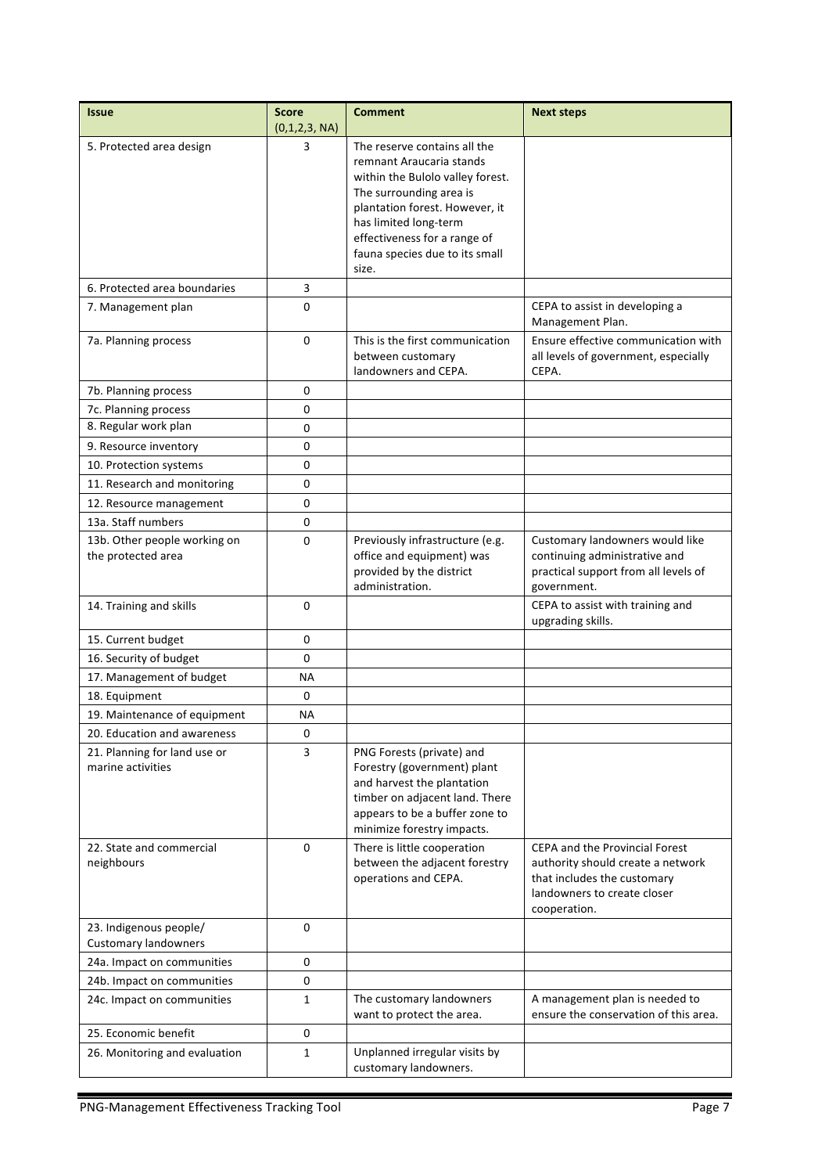| <b>Issue</b>                                          | <b>Score</b><br>(0,1,2,3, NA) | <b>Comment</b>                                                                                                                                                                                                                                                | <b>Next steps</b>                                                                                                                                        |
|-------------------------------------------------------|-------------------------------|---------------------------------------------------------------------------------------------------------------------------------------------------------------------------------------------------------------------------------------------------------------|----------------------------------------------------------------------------------------------------------------------------------------------------------|
| 5. Protected area design                              | 3                             | The reserve contains all the<br>remnant Araucaria stands<br>within the Bulolo valley forest.<br>The surrounding area is<br>plantation forest. However, it<br>has limited long-term<br>effectiveness for a range of<br>fauna species due to its small<br>size. |                                                                                                                                                          |
| 6. Protected area boundaries                          | 3                             |                                                                                                                                                                                                                                                               |                                                                                                                                                          |
| 7. Management plan                                    | 0                             |                                                                                                                                                                                                                                                               | CEPA to assist in developing a<br>Management Plan.                                                                                                       |
| 7a. Planning process                                  | 0                             | This is the first communication<br>between customary<br>landowners and CEPA.                                                                                                                                                                                  | Ensure effective communication with<br>all levels of government, especially<br>CEPA.                                                                     |
| 7b. Planning process                                  | 0                             |                                                                                                                                                                                                                                                               |                                                                                                                                                          |
| 7c. Planning process                                  | 0                             |                                                                                                                                                                                                                                                               |                                                                                                                                                          |
| 8. Regular work plan                                  | 0                             |                                                                                                                                                                                                                                                               |                                                                                                                                                          |
| 9. Resource inventory                                 | 0                             |                                                                                                                                                                                                                                                               |                                                                                                                                                          |
| 10. Protection systems                                | 0                             |                                                                                                                                                                                                                                                               |                                                                                                                                                          |
| 11. Research and monitoring                           | 0                             |                                                                                                                                                                                                                                                               |                                                                                                                                                          |
| 12. Resource management                               | 0                             |                                                                                                                                                                                                                                                               |                                                                                                                                                          |
| 13a. Staff numbers                                    | 0                             |                                                                                                                                                                                                                                                               |                                                                                                                                                          |
| 13b. Other people working on<br>the protected area    | 0                             | Previously infrastructure (e.g.<br>office and equipment) was<br>provided by the district<br>administration.                                                                                                                                                   | Customary landowners would like<br>continuing administrative and<br>practical support from all levels of<br>government.                                  |
| 14. Training and skills                               | 0                             |                                                                                                                                                                                                                                                               | CEPA to assist with training and<br>upgrading skills.                                                                                                    |
| 15. Current budget                                    | 0                             |                                                                                                                                                                                                                                                               |                                                                                                                                                          |
| 16. Security of budget                                | 0                             |                                                                                                                                                                                                                                                               |                                                                                                                                                          |
| 17. Management of budget                              | ΝA                            |                                                                                                                                                                                                                                                               |                                                                                                                                                          |
| 18. Equipment                                         | 0                             |                                                                                                                                                                                                                                                               |                                                                                                                                                          |
| 19. Maintenance of equipment                          | ΝA                            |                                                                                                                                                                                                                                                               |                                                                                                                                                          |
| 20. Education and awareness                           | 0                             |                                                                                                                                                                                                                                                               |                                                                                                                                                          |
| 21. Planning for land use or<br>marine activities     | 3                             | PNG Forests (private) and<br>Forestry (government) plant<br>and harvest the plantation<br>timber on adjacent land. There<br>appears to be a buffer zone to<br>minimize forestry impacts.                                                                      |                                                                                                                                                          |
| 22. State and commercial<br>neighbours                | 0                             | There is little cooperation<br>between the adjacent forestry<br>operations and CEPA.                                                                                                                                                                          | <b>CEPA and the Provincial Forest</b><br>authority should create a network<br>that includes the customary<br>landowners to create closer<br>cooperation. |
| 23. Indigenous people/<br><b>Customary landowners</b> | 0                             |                                                                                                                                                                                                                                                               |                                                                                                                                                          |
| 24a. Impact on communities                            | 0                             |                                                                                                                                                                                                                                                               |                                                                                                                                                          |
| 24b. Impact on communities                            | 0                             |                                                                                                                                                                                                                                                               |                                                                                                                                                          |
| 24c. Impact on communities                            | $\mathbf{1}$                  | The customary landowners<br>want to protect the area.                                                                                                                                                                                                         | A management plan is needed to<br>ensure the conservation of this area.                                                                                  |
| 25. Economic benefit                                  | 0                             |                                                                                                                                                                                                                                                               |                                                                                                                                                          |
| 26. Monitoring and evaluation                         | 1                             | Unplanned irregular visits by<br>customary landowners.                                                                                                                                                                                                        |                                                                                                                                                          |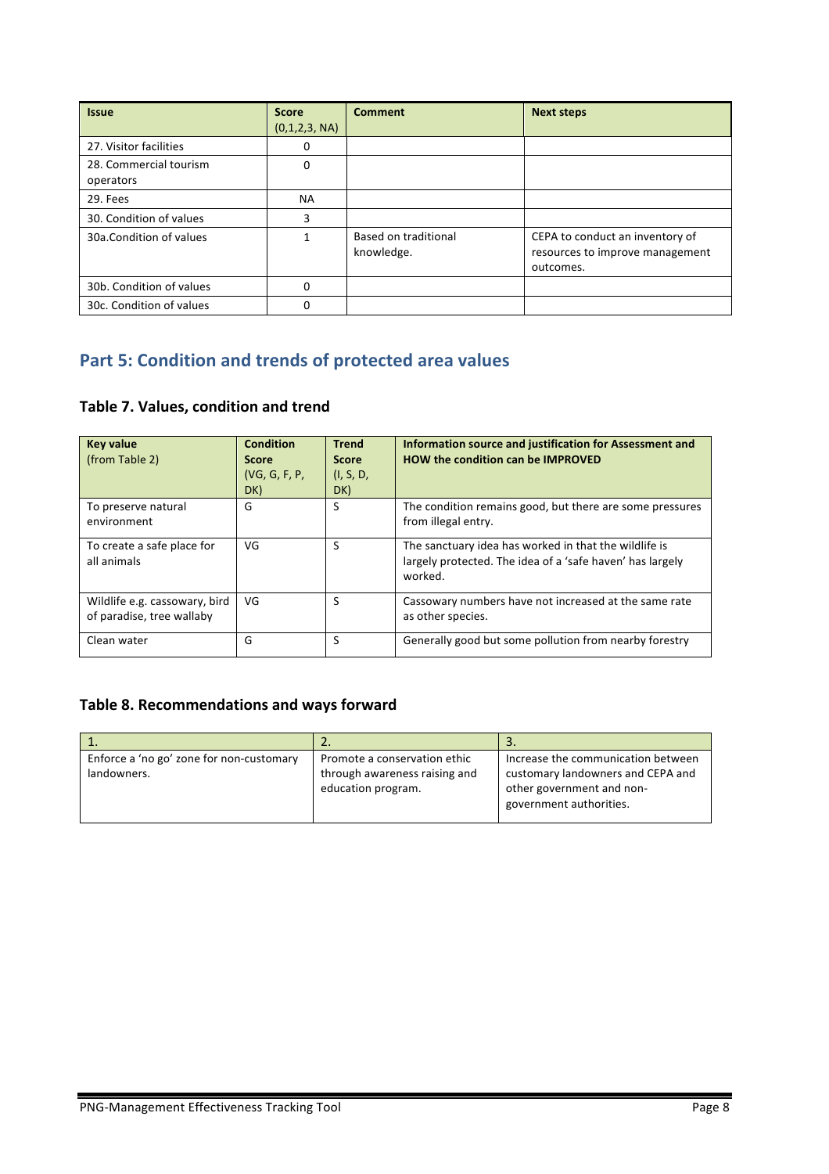| <b>Issue</b>                        | <b>Score</b><br>(0,1,2,3, NA) | <b>Comment</b>                     | <b>Next steps</b>                                                               |
|-------------------------------------|-------------------------------|------------------------------------|---------------------------------------------------------------------------------|
| 27. Visitor facilities              | 0                             |                                    |                                                                                 |
| 28. Commercial tourism<br>operators | 0                             |                                    |                                                                                 |
| 29. Fees                            | <b>NA</b>                     |                                    |                                                                                 |
| 30. Condition of values             | 3                             |                                    |                                                                                 |
| 30a.Condition of values             |                               | Based on traditional<br>knowledge. | CEPA to conduct an inventory of<br>resources to improve management<br>outcomes. |
| 30b. Condition of values            | 0                             |                                    |                                                                                 |
| 30c. Condition of values            | 0                             |                                    |                                                                                 |

# **Part 5: Condition and trends of protected area values**

#### **Table 7. Values, condition and trend**

| <b>Key value</b><br>(from Table 2)                         | <b>Condition</b><br><b>Score</b><br>(VG, G, F, P, P)<br>DK) | <b>Trend</b><br><b>Score</b><br>(I, S, D,<br>DK) | Information source and justification for Assessment and<br><b>HOW the condition can be IMPROVED</b>                           |
|------------------------------------------------------------|-------------------------------------------------------------|--------------------------------------------------|-------------------------------------------------------------------------------------------------------------------------------|
| To preserve natural<br>environment                         | G                                                           | S                                                | The condition remains good, but there are some pressures<br>from illegal entry.                                               |
| To create a safe place for<br>all animals                  | VG                                                          | S                                                | The sanctuary idea has worked in that the wildlife is<br>largely protected. The idea of a 'safe haven' has largely<br>worked. |
| Wildlife e.g. cassowary, bird<br>of paradise, tree wallaby | VG                                                          | S                                                | Cassowary numbers have not increased at the same rate<br>as other species.                                                    |
| Clean water                                                | G                                                           | S                                                | Generally good but some pollution from nearby forestry                                                                        |

#### Table 8. Recommendations and ways forward

| Enforce a 'no go' zone for non-customary | Promote a conservation ethic                        | Increase the communication between                                                        |
|------------------------------------------|-----------------------------------------------------|-------------------------------------------------------------------------------------------|
| landowners.                              | through awareness raising and<br>education program. | customary landowners and CEPA and<br>other government and non-<br>government authorities. |